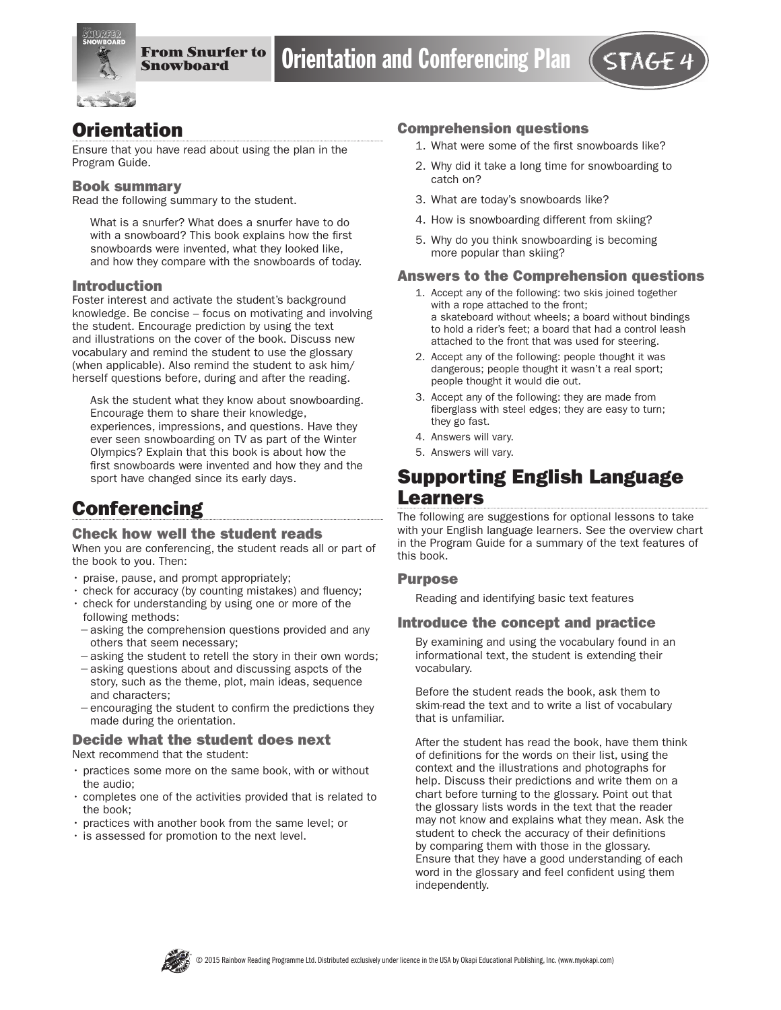

# **Orientation**

Ensure that you have read about using the plan in the Program Guide.

#### Book summary

Read the following summary to the student.

What is a snurfer? What does a snurfer have to do with a snowboard? This book explains how the first snowboards were invented, what they looked like, and how they compare with the snowboards of today.

### Introduction

Foster interest and activate the student's background knowledge. Be concise – focus on motivating and involving the student. Encourage prediction by using the text and illustrations on the cover of the book. Discuss new vocabulary and remind the student to use the glossary (when applicable). Also remind the student to ask him/ herself questions before, during and after the reading.

Ask the student what they know about snowboarding. Encourage them to share their knowledge, experiences, impressions, and questions. Have they ever seen snowboarding on TV as part of the Winter Olympics? Explain that this book is about how the first snowboards were invented and how they and the sport have changed since its early days.

# **Conferencing**

#### Check how well the student reads

When you are conferencing, the student reads all or part of the book to you. Then:

- praise, pause, and prompt appropriately;
- check for accuracy (by counting mistakes) and fluency;
- check for understanding by using one or more of the following methods:
- −asking the comprehension questions provided and any others that seem necessary;
- −asking the student to retell the story in their own words;
- −asking questions about and discussing aspcts of the story, such as the theme, plot, main ideas, sequence and characters;
- −encouraging the student to confirm the predictions they made during the orientation.

#### Decide what the student does next Next recommend that the student:

- practices some more on the same book, with or without the audio;
- completes one of the activities provided that is related to the book;
- practices with another book from the same level; or
- is assessed for promotion to the next level.

#### Comprehension questions

- 1. What were some of the first snowboards like?
- 2. Why did it take a long time for snowboarding to catch on?
- 3. What are today's snowboards like?
- 4. How is snowboarding different from skiing?
- 5. Why do you think snowboarding is becoming more popular than skiing?

#### Answers to the Comprehension questions

- 1. Accept any of the following: two skis joined together with a rope attached to the front; a skateboard without wheels; a board without bindings to hold a rider's feet; a board that had a control leash attached to the front that was used for steering.
- 2. Accept any of the following: people thought it was dangerous; people thought it wasn't a real sport; people thought it would die out.
- 3. Accept any of the following: they are made from fiberglass with steel edges; they are easy to turn; they go fast.
- 4. Answers will vary.
- 5. Answers will vary.

## Supporting English Language Learners

The following are suggestions for optional lessons to take with your English language learners. See the overview chart in the Program Guide for a summary of the text features of this book.

#### **Purpose**

Reading and identifying basic text features

### Introduce the concept and practice

By examining and using the vocabulary found in an informational text, the student is extending their vocabulary.

Before the student reads the book, ask them to skim-read the text and to write a list of vocabulary that is unfamiliar.

After the student has read the book, have them think of definitions for the words on their list, using the context and the illustrations and photographs for help. Discuss their predictions and write them on a chart before turning to the glossary. Point out that the glossary lists words in the text that the reader may not know and explains what they mean. Ask the student to check the accuracy of their definitions by comparing them with those in the glossary. Ensure that they have a good understanding of each word in the glossary and feel confident using them independently.

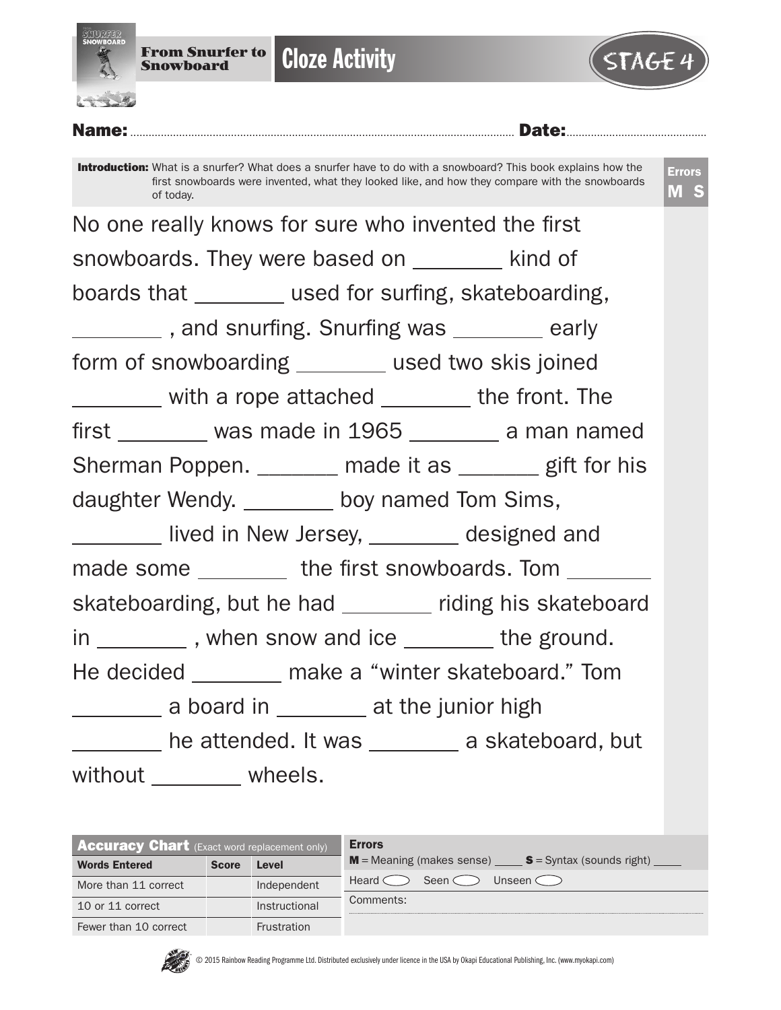



Name:.............................................................................................................................. Date:.............................................. Introduction: What is a snurfer? What does a snurfer have to do with a snowboard? This book explains how the first snowboards were invented, what they looked like, and how they compare with the snowboards of today. Errors M S No one really knows for sure who invented the first snowboards. They were based on kind of boards that \_\_\_\_\_\_\_\_ used for surfing, skateboarding, Letter 2008, and snurfing. Snurfing was early form of snowboarding \_\_\_\_\_\_\_ used two skis joined with a rope attached \_\_\_\_\_\_\_\_ the front. The  $first$   $\_\_\_\_\$  was made in 1965  $\_\_\_\_\_\$  a man named Sherman Poppen. \_\_\_\_\_\_\_ made it as \_\_\_\_\_\_ gift for his daughter Wendy. \_\_\_\_\_\_\_\_ boy named Tom Sims, lived in New Jersey, \_\_\_\_\_\_\_ designed and made some \_\_\_\_\_\_\_\_\_ the first snowboards. Tom \_\_\_\_\_\_\_ skateboarding, but he had \_\_\_\_\_\_\_ riding his skateboard in \_\_\_\_\_\_\_\_\_, when snow and ice \_\_\_\_\_\_\_\_ the ground. He decided make a "winter skateboard." Tom a board in at the junior high he attended. It was \_\_\_\_\_\_\_\_ a skateboard, but without \_\_\_\_\_\_\_ wheels.

| <b>Accuracy Chart</b> (Exact word replacement only) |              |               | <b>Errors</b>                                           |
|-----------------------------------------------------|--------------|---------------|---------------------------------------------------------|
| <b>Words Entered</b>                                | <b>Score</b> | <b>Level</b>  | $M$ = Meaning (makes sense) $S$ = Syntax (sounds right) |
| More than 11 correct                                |              | Independent   | Heard o<br>Seen <<br>Unseen C                           |
| 10 or 11 correct                                    |              | Instructional | Comments:                                               |
| Fewer than 10 correct                               |              | Frustration   |                                                         |

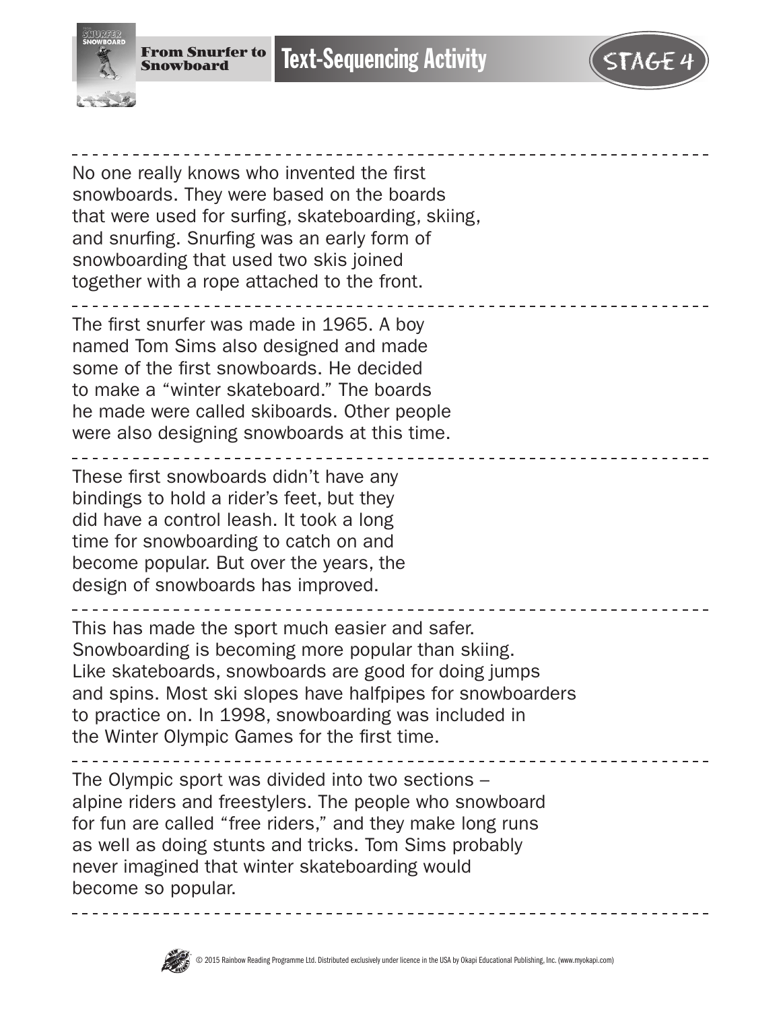

No one really knows who invented the first snowboards. They were based on the boards that were used for surfing, skateboarding, skiing, and snurfing. Snurfing was an early form of snowboarding that used two skis joined together with a rope attached to the front.

The first snurfer was made in 1965. A boy named Tom Sims also designed and made some of the first snowboards. He decided to make a "winter skateboard." The boards he made were called skiboards. Other people were also designing snowboards at this time.

These first snowboards didn't have any bindings to hold a rider's feet, but they did have a control leash. It took a long time for snowboarding to catch on and become popular. But over the years, the design of snowboards has improved.

This has made the sport much easier and safer. Snowboarding is becoming more popular than skiing. Like skateboards, snowboards are good for doing jumps and spins. Most ski slopes have halfpipes for snowboarders to practice on. In 1998, snowboarding was included in the Winter Olympic Games for the first time.

The Olympic sport was divided into two sections – alpine riders and freestylers. The people who snowboard for fun are called "free riders," and they make long runs as well as doing stunts and tricks. Tom Sims probably never imagined that winter skateboarding would become so popular.

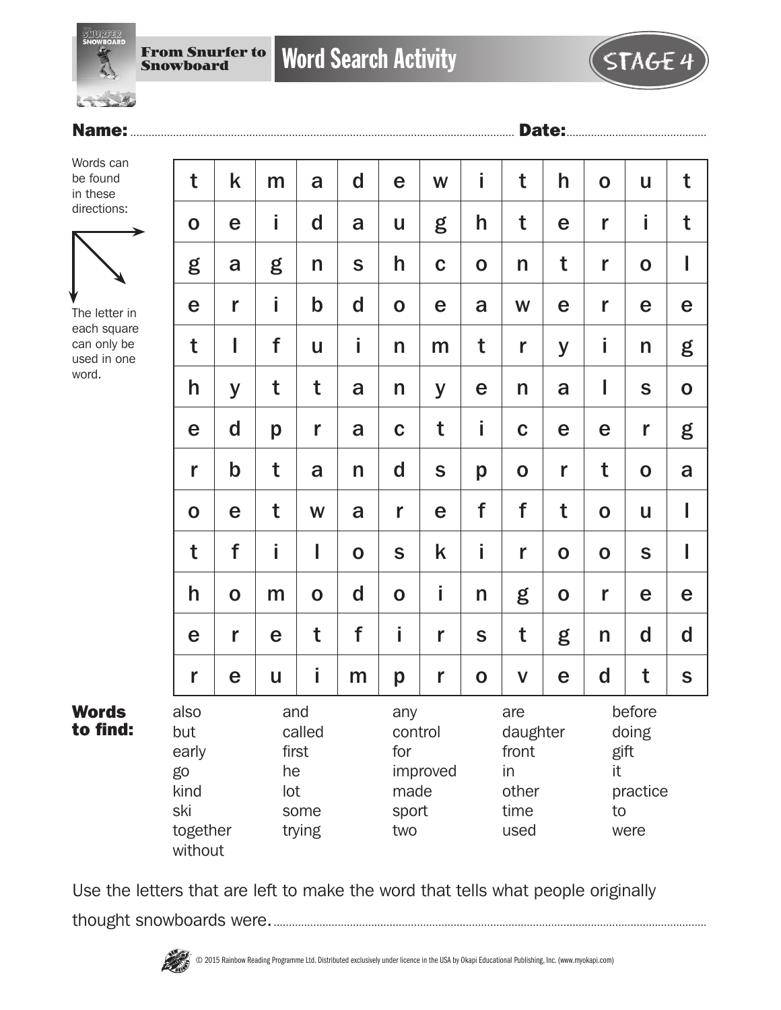



Words can be found in these directions:



The letter in each square can only be used in one word.

Words to find:

| t                                                                                    | k           | m                                 | a                                                         | $\mathbf d$ | e            | W           | Ť                                                       | t           | h                                                       | $\mathbf 0$ | U           | t           |
|--------------------------------------------------------------------------------------|-------------|-----------------------------------|-----------------------------------------------------------|-------------|--------------|-------------|---------------------------------------------------------|-------------|---------------------------------------------------------|-------------|-------------|-------------|
| $\mathbf 0$                                                                          | e           | İ                                 | $\mathbf d$                                               | a           | U            | g           | h                                                       | t           | e                                                       | r           | İ           | t           |
| g                                                                                    | a           | g                                 | n                                                         | $\mathbf S$ | h            | $\mathbf C$ | $\mathbf 0$                                             | n           | t                                                       | r           | $\mathbf 0$ | I           |
| e                                                                                    | r           | İ                                 | $\mathsf b$                                               | $\mathbf d$ | $\mathbf O$  | $\mathbf e$ | a                                                       | W           | e                                                       | r           | e           | e           |
| t                                                                                    | I           | f                                 | U                                                         | İ           | $\mathsf{n}$ | m           | t                                                       | r           | y                                                       | İ           | n           | g           |
| h                                                                                    | y           | t                                 | t                                                         | a           | n            | y           | e                                                       | n           | a                                                       | I           | $\mathbf S$ | $\mathbf 0$ |
| e                                                                                    | $\mathbf d$ | p                                 | r                                                         | a           | $\mathbf C$  | t           | i                                                       | $\mathbf C$ | e                                                       | e           | r           | g           |
| r                                                                                    | $\mathbf b$ | t                                 | a                                                         | n           | $\mathbf d$  | $\mathsf S$ | p                                                       | $\mathbf 0$ | r                                                       | t           | $\mathbf O$ | a           |
| $\mathbf 0$                                                                          | e           | t                                 | W                                                         | a           | r            | e           | f                                                       | f           | t                                                       | $\mathbf O$ | U           | I           |
| t                                                                                    | f           | İ                                 | I                                                         | $\mathbf 0$ | S            | k           | i                                                       | r           | $\mathbf O$                                             | $\mathbf 0$ | $\mathbf S$ | I           |
| h                                                                                    | $\mathbf 0$ | m                                 | $\mathbf O$                                               | $\mathbf d$ | $\mathbf O$  | İ           | n                                                       | g           | $\mathbf 0$                                             | r           | e           | e           |
| e                                                                                    | r           | e                                 | t                                                         | f           | İ            | r           | S                                                       | t           | g                                                       | n           | $\mathbf d$ | $\mathbf d$ |
| r                                                                                    | e           | u                                 | İ                                                         | m           | p            | r           | $\mathbf 0$                                             | $\mathbf V$ | e                                                       | d           | t           | S           |
| also<br>and<br>but<br>early<br>he<br>go<br>kind<br>lot<br>ski<br>together<br>without |             | called<br>first<br>some<br>trying | any<br>control<br>for<br>improved<br>made<br>sport<br>two |             |              |             | are<br>daughter<br>front<br>in<br>other<br>time<br>used |             | before<br>doing<br>gift<br>it<br>practice<br>to<br>were |             |             |             |

Use the letters that are left to make the word that tells what people originally thought snowboards were...............................................................................................................................................

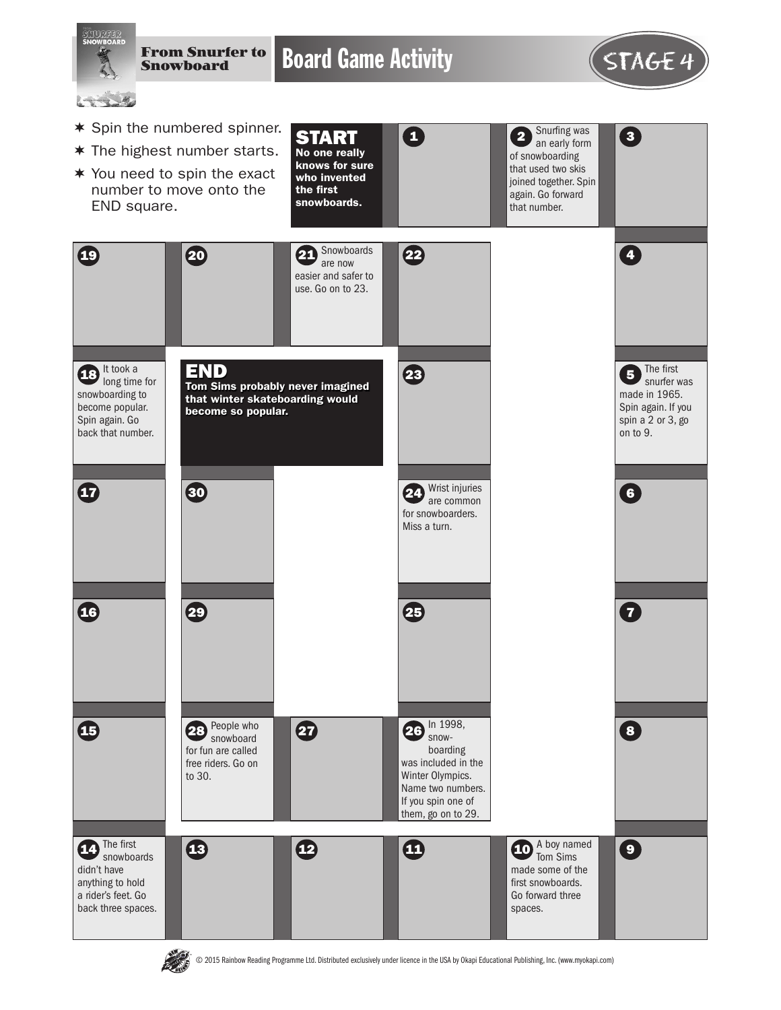

© 2015 Rainbow Reading Programme Ltd. Distributed exclusively under licence in the USA by Okapi Educational Publishing, Inc. (www.myokapi.com)